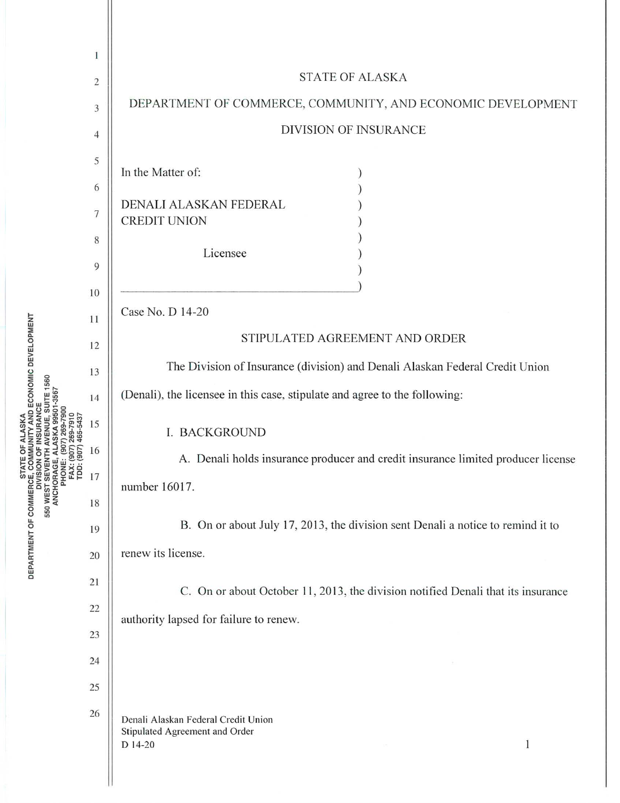|                                                             | 1              |                                                                                                  |
|-------------------------------------------------------------|----------------|--------------------------------------------------------------------------------------------------|
| VENUE, SUITE 1560<br>SKA 99501-3567<br>465-543              | $\overline{c}$ | <b>STATE OF ALASKA</b>                                                                           |
|                                                             | 3              | DEPARTMENT OF COMMERCE, COMMUNITY, AND ECONOMIC DEVELOPMENT                                      |
|                                                             | 4              | <b>DIVISION OF INSURANCE</b>                                                                     |
|                                                             | 5              | In the Matter of:                                                                                |
|                                                             | 6              |                                                                                                  |
|                                                             | 7              | DENALI ALASKAN FEDERAL<br><b>CREDIT UNION</b>                                                    |
|                                                             | 8              |                                                                                                  |
|                                                             | 9              | Licensee                                                                                         |
|                                                             | 10             |                                                                                                  |
|                                                             | 11             | Case No. D 14-20                                                                                 |
|                                                             | 12             | STIPULATED AGREEMENT AND ORDER                                                                   |
|                                                             | 13             | The Division of Insurance (division) and Denali Alaskan Federal Credit Union                     |
|                                                             | 14             | (Denali), the licensee in this case, stipulate and agree to the following:                       |
|                                                             | 15             | <b>I. BACKGROUND</b>                                                                             |
| $\overline{500}$                                            | 16             | A. Denali holds insurance producer and credit insurance limited producer license                 |
| 550 WEST SEVENT<br>ANCHORAGE,<br>PHONE:<br>FAX: (<br>TDD: ( | 17             | number 16017.                                                                                    |
|                                                             | 18             |                                                                                                  |
|                                                             | 19             | B. On or about July 17, 2013, the division sent Denali a notice to remind it to                  |
|                                                             | 20             | renew its license.                                                                               |
|                                                             | 21             | C. On or about October 11, 2013, the division notified Denali that its insurance                 |
|                                                             | 22             | authority lapsed for failure to renew.                                                           |
|                                                             | 23             |                                                                                                  |
|                                                             | 24             |                                                                                                  |
|                                                             | 25             |                                                                                                  |
|                                                             | 26             | Denali Alaskan Federal Credit Union<br>Stipulated Agreement and Order<br>$\mathbf{1}$<br>D 14-20 |
|                                                             |                |                                                                                                  |

RTMENT OF

DEP.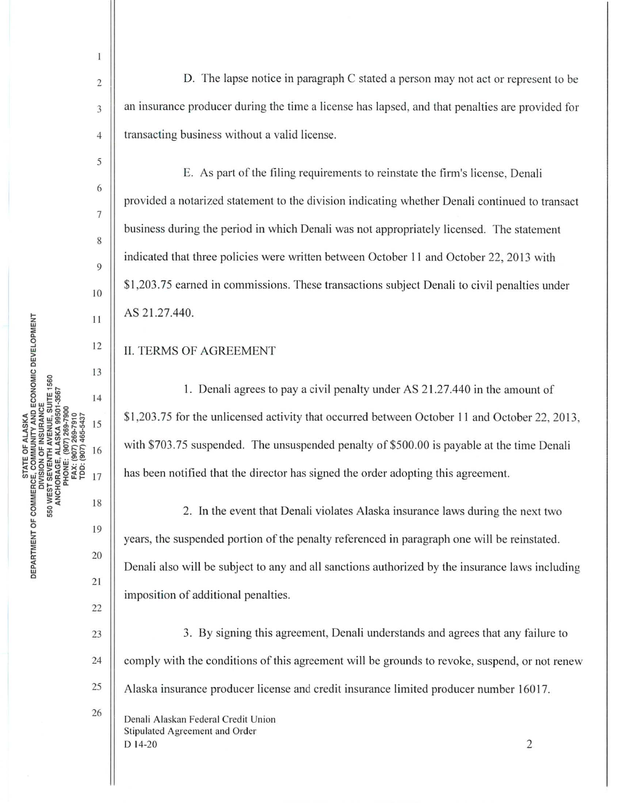2

1

3

4

5

6

7

8

9

10

11

12

13

14

15

16

17

19

18

20

21

22

26

D. The lapse notice in paragraph C stated a person may not act or represent to be an insurance producer during the time a license has lapsed, and that penalties are provided for transacting business without a valid license.

E. As part of the filing requirements to reinstate the firm's license, Denali provided a notarized statement to the division indicating whether Denali continued to transact business during the period in which Denali was not appropriately licensed. The statement indicated that three policies were written between October 11 and October 22, 2013 with \$1,203.75 earned in commissions. These transactions subject Denali to civil penalties under AS 21.27.440.

## II. TERMS OF AGREEMENT

1. Denali agrees to pay a civil penalty under AS 21.27.440 in the amount of \$1,203.75 for the unlicensed activity that occurred between October 11 and October 22, 2013, with \$703.75 suspended. The unsuspended penalty of \$500.00 is payable at the time Denali has been notified that the director has signed the order adopting this agreement.

2. In the event that Denali violates Alaska insurance laws during the next two years, the suspended portion of the penalty referenced in paragraph one will be reinstated. Denali also will be subject to any and all sanctions authorized by the insurance laws including imposition of additional penalties.

23 24 25 3. By signing this agreement, Denali understands and agrees that any failure to comply with the conditions of this agreement will be grounds to revoke, suspend, or not renew Alaska insurance producer license and credit insurance limited producer number 16017.

Denali Alaskan Federal Credit Union Stipulated Agreement and Order  $D$  14-20 2